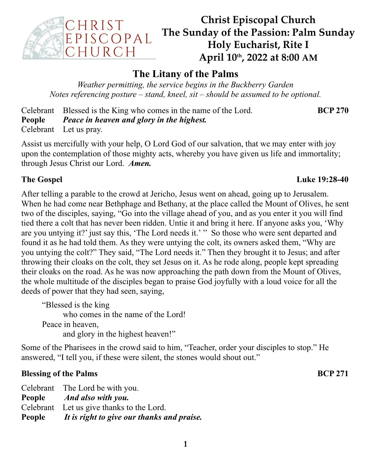

# **Christ Episcopal Church The Sunday of the Passion: Palm Sunday Holy Eucharist, Rite I April 10th, 2022 at 8:00 AM**

# **The Litany of the Palms**

*Weather permitting, the service begins in the Buckberry Garden Notes referencing posture – stand, kneel, sit – should be assumed to be optional.*

Celebrant Blessed is the King who comes in the name of the Lord. **BCP 270 People** *Peace in heaven and glory in the highest.* Celebrant Let us pray.

Assist us mercifully with your help, O Lord God of our salvation, that we may enter with joy upon the contemplation of those mighty acts, whereby you have given us life and immortality; through Jesus Christ our Lord. *Amen.*

After telling a parable to the crowd at Jericho, Jesus went on ahead, going up to Jerusalem. When he had come near Bethphage and Bethany, at the place called the Mount of Olives, he sent two of the disciples, saying, "Go into the village ahead of you, and as you enter it you will find tied there a colt that has never been ridden. Untie it and bring it here. If anyone asks you, 'Why are you untying it?' just say this, 'The Lord needs it.' '' So those who were sent departed and found it as he had told them. As they were untying the colt, its owners asked them, "Why are you untying the colt?" They said, "The Lord needs it." Then they brought it to Jesus; and after throwing their cloaks on the colt, they set Jesus on it. As he rode along, people kept spreading their cloaks on the road. As he was now approaching the path down from the Mount of Olives, the whole multitude of the disciples began to praise God joyfully with a loud voice for all the deeds of power that they had seen, saying,

"Blessed is the king who comes in the name of the Lord! Peace in heaven, and glory in the highest heaven!"

Some of the Pharisees in the crowd said to him, "Teacher, order your disciples to stop." He answered, "I tell you, if these were silent, the stones would shout out."

## **Blessing of the Palms BCP 271**

Celebrant The Lord be with you. **People** *And also with you.* Celebrant Let us give thanks to the Lord. **People** *It is right to give our thanks and praise.*

## **The Gospel Community Community Community Community Community Community Community Community Community Community Community Community Community Community Community Community Community Community Community Community Community**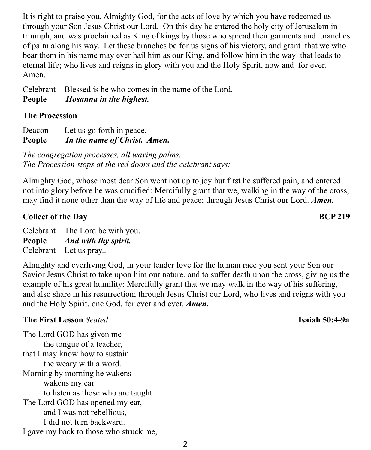through your Son Jesus Christ our Lord. On this day he entered the holy city of Jerusalem in triumph, and was proclaimed as King of kings by those who spread their garments and branches of palm along his way. Let these branches be for us signs of his victory, and grant that we who bear them in his name may ever hail him as our King, and follow him in the way that leads to eternal life; who lives and reigns in glory with you and the Holy Spirit, now and for ever. Amen. Celebrant Blessed is he who comes in the name of the Lord. **People** *Hosanna in the highest.*

It is right to praise you, Almighty God, for the acts of love by which you have redeemed us

**The Procession**

Deacon Let us go forth in peace. **People** *In the name of Christ. Amen.*

*The congregation processes, all waving palms. The Procession stops at the red doors and the celebrant says:* 

Almighty God, whose most dear Son went not up to joy but first he suffered pain, and entered not into glory before he was crucified: Mercifully grant that we, walking in the way of the cross, may find it none other than the way of life and peace; through Jesus Christ our Lord. *Amen.*

## **Collect of the Day BCP 219**

Celebrant The Lord be with you. **People** *And with thy spirit.* Celebrant Let us pray..

Almighty and everliving God, in your tender love for the human race you sent your Son our Savior Jesus Christ to take upon him our nature, and to suffer death upon the cross, giving us the example of his great humility: Mercifully grant that we may walk in the way of his suffering, and also share in his resurrection; through Jesus Christ our Lord, who lives and reigns with you and the Holy Spirit, one God, for ever and ever. *Amen.*

## **The First Lesson** *Seated* **Isaiah 50:4-9a**

The Lord GOD has given me the tongue of a teacher, that I may know how to sustain the weary with a word. Morning by morning he wakens wakens my ear to listen as those who are taught. The Lord GOD has opened my ear, and I was not rebellious, I did not turn backward. I gave my back to those who struck me,

**2**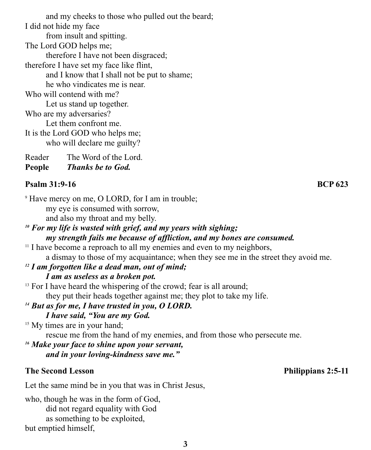and my cheeks to those who pulled out the beard; I did not hide my face from insult and spitting. The Lord GOD helps me; therefore I have not been disgraced; therefore I have set my face like flint, and I know that I shall not be put to shame; he who vindicates me is near. Who will contend with me? Let us stand up together. Who are my adversaries? Let them confront me. It is the Lord GOD who helps me; who will declare me guilty? Reader The Word of the Lord. **People** *Thanks be to God.* **Psalm 31:9-16** BCP 623

9 Have mercy on me, O LORD, for I am in trouble; my eye is consumed with sorrow, and also my throat and my belly.

## *<sup>10</sup> For my life is wasted with grief, and my years with sighing; my strength fails me because of affliction, and my bones are consumed.*

<sup>11</sup> I have become a reproach to all my enemies and even to my neighbors, a dismay to those of my acquaintance; when they see me in the street they avoid me.

*<sup>12</sup> I am forgotten like a dead man, out of mind; I am as useless as a broken pot.*

<sup>13</sup> For I have heard the whispering of the crowd; fear is all around; they put their heads together against me; they plot to take my life.

## *<sup>14</sup> But as for me, I have trusted in you, O LORD.*

## *I have said, "You are my God.*

<sup>15</sup> My times are in your hand;

rescue me from the hand of my enemies, and from those who persecute me.

*<sup>16</sup> Make your face to shine upon your servant, and in your loving-kindness save me."*

# **The Second Lesson Philippians 2:5-11**

Let the same mind be in you that was in Christ Jesus,

who, though he was in the form of God, did not regard equality with God as something to be exploited, but emptied himself,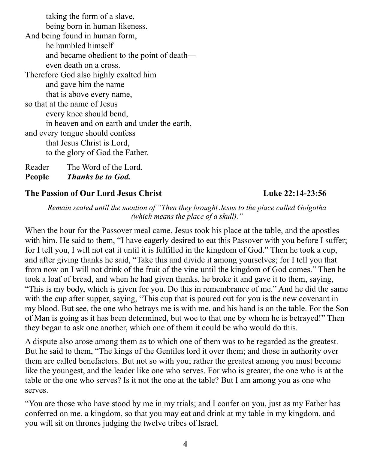taking the form of a slave, being born in human likeness. And being found in human form, he humbled himself and became obedient to the point of death even death on a cross. Therefore God also highly exalted him and gave him the name that is above every name, so that at the name of Jesus every knee should bend, in heaven and on earth and under the earth, and every tongue should confess that Jesus Christ is Lord, to the glory of God the Father.

Reader The Word of the Lord.

**People** *Thanks be to God.*

### **The Passion of Our Lord Jesus Christ Christ Luke 22:14-23:56**

*Remain seated until the mention of "Then they brought Jesus to the place called Golgotha (which means the place of a skull)."*

When the hour for the Passover meal came, Jesus took his place at the table, and the apostles with him. He said to them, "I have eagerly desired to eat this Passover with you before I suffer; for I tell you, I will not eat it until it is fulfilled in the kingdom of God." Then he took a cup, and after giving thanks he said, "Take this and divide it among yourselves; for I tell you that from now on I will not drink of the fruit of the vine until the kingdom of God comes." Then he took a loaf of bread, and when he had given thanks, he broke it and gave it to them, saying, "This is my body, which is given for you. Do this in remembrance of me." And he did the same with the cup after supper, saying, "This cup that is poured out for you is the new covenant in my blood. But see, the one who betrays me is with me, and his hand is on the table. For the Son of Man is going as it has been determined, but woe to that one by whom he is betrayed!" Then they began to ask one another, which one of them it could be who would do this.

A dispute also arose among them as to which one of them was to be regarded as the greatest. But he said to them, "The kings of the Gentiles lord it over them; and those in authority over them are called benefactors. But not so with you; rather the greatest among you must become like the youngest, and the leader like one who serves. For who is greater, the one who is at the table or the one who serves? Is it not the one at the table? But I am among you as one who serves.

"You are those who have stood by me in my trials; and I confer on you, just as my Father has conferred on me, a kingdom, so that you may eat and drink at my table in my kingdom, and you will sit on thrones judging the twelve tribes of Israel.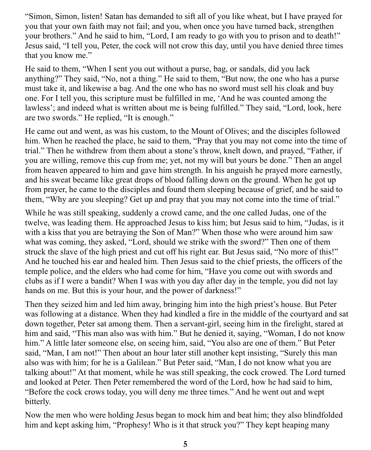"Simon, Simon, listen! Satan has demanded to sift all of you like wheat, but I have prayed for you that your own faith may not fail; and you, when once you have turned back, strengthen your brothers." And he said to him, "Lord, I am ready to go with you to prison and to death!" Jesus said, "I tell you, Peter, the cock will not crow this day, until you have denied three times that you know me."

He said to them, "When I sent you out without a purse, bag, or sandals, did you lack anything?" They said, "No, not a thing." He said to them, "But now, the one who has a purse must take it, and likewise a bag. And the one who has no sword must sell his cloak and buy one. For I tell you, this scripture must be fulfilled in me, 'And he was counted among the lawless'; and indeed what is written about me is being fulfilled." They said, "Lord, look, here are two swords." He replied, "It is enough."

He came out and went, as was his custom, to the Mount of Olives; and the disciples followed him. When he reached the place, he said to them, "Pray that you may not come into the time of trial." Then he withdrew from them about a stone's throw, knelt down, and prayed, "Father, if you are willing, remove this cup from me; yet, not my will but yours be done." Then an angel from heaven appeared to him and gave him strength. In his anguish he prayed more earnestly, and his sweat became like great drops of blood falling down on the ground. When he got up from prayer, he came to the disciples and found them sleeping because of grief, and he said to them, "Why are you sleeping? Get up and pray that you may not come into the time of trial."

While he was still speaking, suddenly a crowd came, and the one called Judas, one of the twelve, was leading them. He approached Jesus to kiss him; but Jesus said to him, "Judas, is it with a kiss that you are betraying the Son of Man?" When those who were around him saw what was coming, they asked, "Lord, should we strike with the sword?" Then one of them struck the slave of the high priest and cut off his right ear. But Jesus said, "No more of this!" And he touched his ear and healed him. Then Jesus said to the chief priests, the officers of the temple police, and the elders who had come for him, "Have you come out with swords and clubs as if I were a bandit? When I was with you day after day in the temple, you did not lay hands on me. But this is your hour, and the power of darkness!"

Then they seized him and led him away, bringing him into the high priest's house. But Peter was following at a distance. When they had kindled a fire in the middle of the courtyard and sat down together, Peter sat among them. Then a servant-girl, seeing him in the firelight, stared at him and said, "This man also was with him." But he denied it, saying, "Woman, I do not know him." A little later someone else, on seeing him, said, "You also are one of them." But Peter said, "Man, I am not!" Then about an hour later still another kept insisting, "Surely this man also was with him; for he is a Galilean." But Peter said, "Man, I do not know what you are talking about!" At that moment, while he was still speaking, the cock crowed. The Lord turned and looked at Peter. Then Peter remembered the word of the Lord, how he had said to him, "Before the cock crows today, you will deny me three times." And he went out and wept bitterly.

Now the men who were holding Jesus began to mock him and beat him; they also blindfolded him and kept asking him, "Prophesy! Who is it that struck you?" They kept heaping many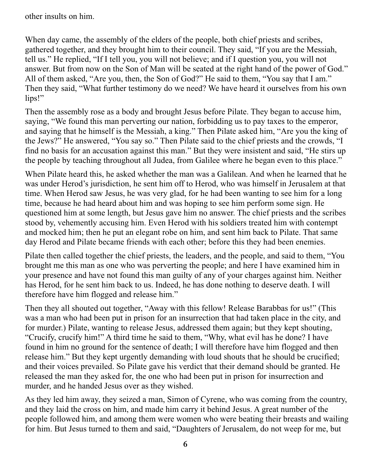other insults on him.

When day came, the assembly of the elders of the people, both chief priests and scribes, gathered together, and they brought him to their council. They said, "If you are the Messiah, tell us." He replied, "If I tell you, you will not believe; and if I question you, you will not answer. But from now on the Son of Man will be seated at the right hand of the power of God." All of them asked, "Are you, then, the Son of God?" He said to them, "You say that I am." Then they said, "What further testimony do we need? We have heard it ourselves from his own lips!"

Then the assembly rose as a body and brought Jesus before Pilate. They began to accuse him, saying, "We found this man perverting our nation, forbidding us to pay taxes to the emperor, and saying that he himself is the Messiah, a king." Then Pilate asked him, "Are you the king of the Jews?" He answered, "You say so." Then Pilate said to the chief priests and the crowds, "I find no basis for an accusation against this man." But they were insistent and said, "He stirs up the people by teaching throughout all Judea, from Galilee where he began even to this place."

When Pilate heard this, he asked whether the man was a Galilean. And when he learned that he was under Herod's jurisdiction, he sent him off to Herod, who was himself in Jerusalem at that time. When Herod saw Jesus, he was very glad, for he had been wanting to see him for a long time, because he had heard about him and was hoping to see him perform some sign. He questioned him at some length, but Jesus gave him no answer. The chief priests and the scribes stood by, vehemently accusing him. Even Herod with his soldiers treated him with contempt and mocked him; then he put an elegant robe on him, and sent him back to Pilate. That same day Herod and Pilate became friends with each other; before this they had been enemies.

Pilate then called together the chief priests, the leaders, and the people, and said to them, "You brought me this man as one who was perverting the people; and here I have examined him in your presence and have not found this man guilty of any of your charges against him. Neither has Herod, for he sent him back to us. Indeed, he has done nothing to deserve death. I will therefore have him flogged and release him."

Then they all shouted out together, "Away with this fellow! Release Barabbas for us!" (This was a man who had been put in prison for an insurrection that had taken place in the city, and for murder.) Pilate, wanting to release Jesus, addressed them again; but they kept shouting, "Crucify, crucify him!" A third time he said to them, "Why, what evil has he done? I have found in him no ground for the sentence of death; I will therefore have him flogged and then release him." But they kept urgently demanding with loud shouts that he should be crucified; and their voices prevailed. So Pilate gave his verdict that their demand should be granted. He released the man they asked for, the one who had been put in prison for insurrection and murder, and he handed Jesus over as they wished.

As they led him away, they seized a man, Simon of Cyrene, who was coming from the country, and they laid the cross on him, and made him carry it behind Jesus. A great number of the people followed him, and among them were women who were beating their breasts and wailing for him. But Jesus turned to them and said, "Daughters of Jerusalem, do not weep for me, but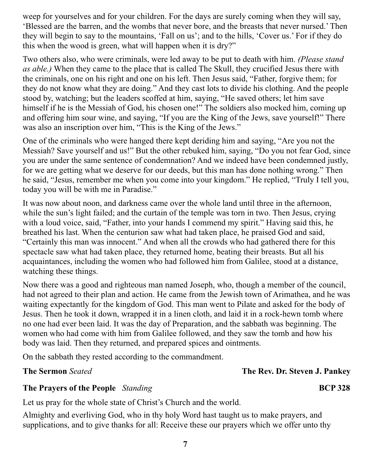weep for yourselves and for your children. For the days are surely coming when they will say, 'Blessed are the barren, and the wombs that never bore, and the breasts that never nursed.' Then they will begin to say to the mountains, 'Fall on us'; and to the hills, 'Cover us.' For if they do this when the wood is green, what will happen when it is dry?"

Two others also, who were criminals, were led away to be put to death with him. *(Please stand as able.)* When they came to the place that is called The Skull, they crucified Jesus there with the criminals, one on his right and one on his left. Then Jesus said, "Father, forgive them; for they do not know what they are doing." And they cast lots to divide his clothing. And the people stood by, watching; but the leaders scoffed at him, saying, "He saved others; let him save himself if he is the Messiah of God, his chosen one!" The soldiers also mocked him, coming up and offering him sour wine, and saying, "If you are the King of the Jews, save yourself!" There was also an inscription over him, "This is the King of the Jews."

One of the criminals who were hanged there kept deriding him and saying, "Are you not the Messiah? Save yourself and us!" But the other rebuked him, saying, "Do you not fear God, since you are under the same sentence of condemnation? And we indeed have been condemned justly, for we are getting what we deserve for our deeds, but this man has done nothing wrong." Then he said, "Jesus, remember me when you come into your kingdom." He replied, "Truly I tell you, today you will be with me in Paradise."

It was now about noon, and darkness came over the whole land until three in the afternoon, while the sun's light failed; and the curtain of the temple was torn in two. Then Jesus, crying with a loud voice, said, "Father, into your hands I commend my spirit." Having said this, he breathed his last. When the centurion saw what had taken place, he praised God and said, "Certainly this man was innocent." And when all the crowds who had gathered there for this spectacle saw what had taken place, they returned home, beating their breasts. But all his acquaintances, including the women who had followed him from Galilee, stood at a distance, watching these things.

Now there was a good and righteous man named Joseph, who, though a member of the council, had not agreed to their plan and action. He came from the Jewish town of Arimathea, and he was waiting expectantly for the kingdom of God. This man went to Pilate and asked for the body of Jesus. Then he took it down, wrapped it in a linen cloth, and laid it in a rock-hewn tomb where no one had ever been laid. It was the day of Preparation, and the sabbath was beginning. The women who had come with him from Galilee followed, and they saw the tomb and how his body was laid. Then they returned, and prepared spices and ointments.

On the sabbath they rested according to the commandment.

#### **The Sermon** *Seated* **The Rev. Dr. Steven J. Pankey**

### **The Prayers of the People** *Standing* **by a standing <b>BCP** 328

Let us pray for the whole state of Christ's Church and the world.

Almighty and everliving God, who in thy holy Word hast taught us to make prayers, and supplications, and to give thanks for all: Receive these our prayers which we offer unto thy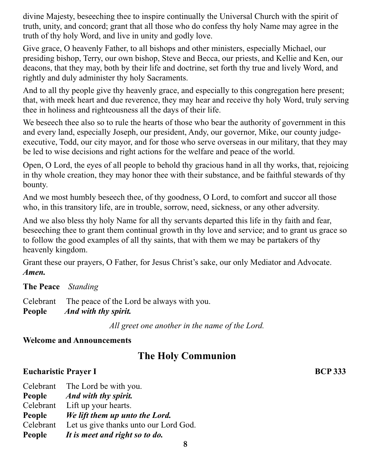divine Majesty, beseeching thee to inspire continually the Universal Church with the spirit of truth, unity, and concord; grant that all those who do confess thy holy Name may agree in the truth of thy holy Word, and live in unity and godly love.

Give grace, O heavenly Father, to all bishops and other ministers, especially Michael, our presiding bishop, Terry, our own bishop, Steve and Becca, our priests, and Kellie and Ken, our deacons, that they may, both by their life and doctrine, set forth thy true and lively Word, and rightly and duly administer thy holy Sacraments.

And to all thy people give thy heavenly grace, and especially to this congregation here present; that, with meek heart and due reverence, they may hear and receive thy holy Word, truly serving thee in holiness and righteousness all the days of their life.

We beseech thee also so to rule the hearts of those who bear the authority of government in this and every land, especially Joseph, our president, Andy, our governor, Mike, our county judgeexecutive, Todd, our city mayor, and for those who serve overseas in our military, that they may be led to wise decisions and right actions for the welfare and peace of the world.

Open, O Lord, the eyes of all people to behold thy gracious hand in all thy works, that, rejoicing in thy whole creation, they may honor thee with their substance, and be faithful stewards of thy bounty.

And we most humbly beseech thee, of thy goodness, O Lord, to comfort and succor all those who, in this transitory life, are in trouble, sorrow, need, sickness, or any other adversity.

And we also bless thy holy Name for all thy servants departed this life in thy faith and fear, beseeching thee to grant them continual growth in thy love and service; and to grant us grace so to follow the good examples of all thy saints, that with them we may be partakers of thy heavenly kingdom.

Grant these our prayers, O Father, for Jesus Christ's sake, our only Mediator and Advocate. *Amen.*

**The Peace** *Standing*

Celebrant The peace of the Lord be always with you. **People** *And with thy spirit.*

*All greet one another in the name of the Lord.*

#### **Welcome and Announcements**

## **The Holy Communion**

#### **Eucharistic Prayer I** BCP 333

| Celebrant | The Lord be with you.                 |
|-----------|---------------------------------------|
| People    | And with thy spirit.                  |
| Celebrant | Lift up your hearts.                  |
| People    | We lift them up unto the Lord.        |
| Celebrant | Let us give thanks unto our Lord God. |
| People    | It is meet and right so to do.        |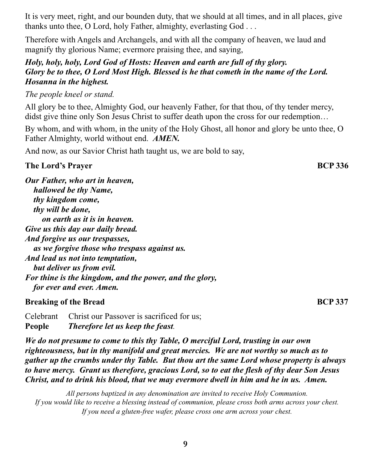It is very meet, right, and our bounden duty, that we should at all times, and in all places, give thanks unto thee, O Lord, holy Father, almighty, everlasting God . . .

Therefore with Angels and Archangels, and with all the company of heaven, we laud and magnify thy glorious Name; evermore praising thee, and saying,

# *Holy, holy, holy, Lord God of Hosts: Heaven and earth are full of thy glory. Glory be to thee, O Lord Most High. Blessed is he that cometh in the name of the Lord. Hosanna in the highest.*

*The people kneel or stand.*

All glory be to thee, Almighty God, our heavenly Father, for that thou, of thy tender mercy, didst give thine only Son Jesus Christ to suffer death upon the cross for our redemption…

By whom, and with whom, in the unity of the Holy Ghost, all honor and glory be unto thee, O Father Almighty, world without end. *AMEN.*

And now, as our Savior Christ hath taught us, we are bold to say,

## **The Lord's Prayer BCP 336**

*Our Father, who art in heaven, hallowed be thy Name, thy kingdom come, thy will be done, on earth as it is in heaven. Give us this day our daily bread. And forgive us our trespasses, as we forgive those who trespass against us. And lead us not into temptation, but deliver us from evil. For thine is the kingdom, and the power, and the glory, for ever and ever. Amen.*

## **Breaking of the Bread BCP 337**

Celebrant Christ our Passover is sacrificed for us; **People** *Therefore let us keep the feast.* 

*We do not presume to come to this thy Table, O merciful Lord, trusting in our own righteousness, but in thy manifold and great mercies. We are not worthy so much as to gather up the crumbs under thy Table. But thou art the same Lord whose property is always to have mercy. Grant us therefore, gracious Lord, so to eat the flesh of thy dear Son Jesus Christ, and to drink his blood, that we may evermore dwell in him and he in us. Amen.*

*All persons baptized in any denomination are invited to receive Holy Communion. If you would like to receive a blessing instead of communion, please cross both arms across your chest. If you need a gluten-free wafer, please cross one arm across your chest.*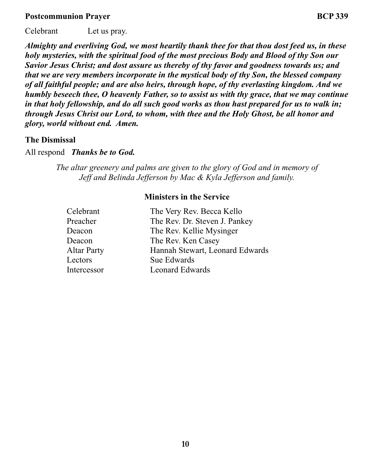#### **Postcommunion Prayer BCP 339**

Celebrant Let us pray.

*Almighty and everliving God, we most heartily thank thee for that thou dost feed us, in these holy mysteries, with the spiritual food of the most precious Body and Blood of thy Son our Savior Jesus Christ; and dost assure us thereby of thy favor and goodness towards us; and that we are very members incorporate in the mystical body of thy Son, the blessed company of all faithful people; and are also heirs, through hope, of thy everlasting kingdom. And we humbly beseech thee, O heavenly Father, so to assist us with thy grace, that we may continue in that holy fellowship, and do all such good works as thou hast prepared for us to walk in; through Jesus Christ our Lord, to whom, with thee and the Holy Ghost, be all honor and glory, world without end. Amen.*

#### **The Dismissal**

All respond *Thanks be to God.* 

*The altar greenery and palms are given to the glory of God and in memory of Jeff and Belinda Jefferson by Mac & Kyla Jefferson and family.*

#### **Ministers in the Service**

| Celebrant          | The Very Rev. Becca Kello       |
|--------------------|---------------------------------|
| Preacher           | The Rev. Dr. Steven J. Pankey   |
| Deacon             | The Rev. Kellie Mysinger        |
| Deacon             | The Rev. Ken Casey              |
| <b>Altar Party</b> | Hannah Stewart, Leonard Edwards |
| Lectors            | Sue Edwards                     |
| Intercessor        | <b>Leonard Edwards</b>          |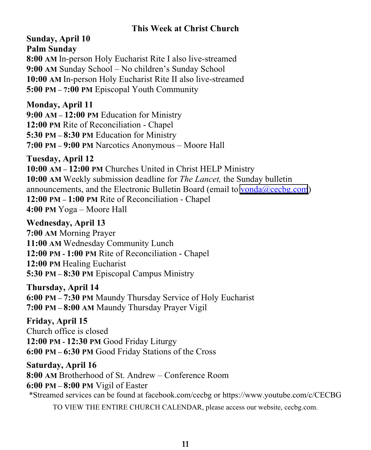## **This Week at Christ Church**

**Sunday, April 10 Palm Sunday 8:00 AM** In-person Holy Eucharist Rite I also live-streamed **9:00 AM** Sunday School – No children's Sunday School **10:00 AM** In-person Holy Eucharist Rite II also live-streamed **5:00 PM – 7:00 PM** Episcopal Youth Community

**Monday, April 11 9:00 AM – 12:00 PM** Education for Ministry **12:00 PM** Rite of Reconciliation - Chapel **5:30 PM – 8:30 PM** Education for Ministry **7:00 PM – 9:00 PM** Narcotics Anonymous – Moore Hall

**Tuesday, April 12 10:00 AM – 12:00 PM** Churches United in Christ HELP Ministry **10:00 AM** Weekly submission deadline for *The Lancet,* the Sunday bulletin announcements, and the Electronic Bulletin Board (email to  $vonda@cecbg.com$ )</u> **12:00 PM – 1:00 PM** Rite of Reconciliation - Chapel **4:00 PM** Yoga – Moore Hall

### **Wednesday, April 13 7:00 AM** Morning Prayer **11:00 AM** Wednesday Community Lunch **12:00 PM - 1:00 PM** Rite of Reconciliation - Chapel **12:00 PM** Healing Eucharist **5:30 PM – 8:30 PM** Episcopal Campus Ministry

**Thursday, April 14 6:00 PM – 7:30 PM** Maundy Thursday Service of Holy Eucharist **7:00 PM – 8:00 AM** Maundy Thursday Prayer Vigil

**Friday, April 15**  Church office is closed **12:00 PM - 12:30 PM** Good Friday Liturgy **6:00 PM – 6:30 PM** Good Friday Stations of the Cross

**Saturday, April 16 8:00 AM** Brotherhood of St. Andrew – Conference Room **6:00 PM – 8:00 PM** Vigil of Easter \*Streamed services can be found at facebook.com/cecbg or https://www.youtube.com/c/CECBG

TO VIEW THE ENTIRE CHURCH CALENDAR, please access our website, cecbg.com.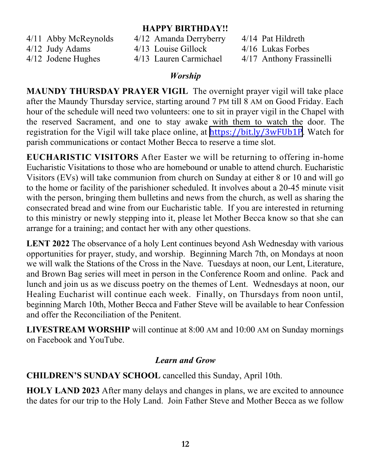### **HAPPY BIRTHDAY!!**

4/11 Abby McReynolds

- 4/12 Judy Adams
- 4/12 Jodene Hughes

4/12 Amanda Derryberry 4/13 Louise Gillock

4/13 Lauren Carmichael

4/14 Pat Hildreth 4/16 Lukas Forbes 4/17 Anthony Frassinelli

## *Worship*

**MAUNDY THURSDAY PRAYER VIGIL** The overnight prayer vigil will take place after the Maundy Thursday service, starting around 7 PM till 8 AM on Good Friday. Each hour of the schedule will need two volunteers: one to sit in prayer vigil in the Chapel with the reserved Sacrament, and one to stay awake with them to watch the door. The registration for the Vigil will take place online, at <https://bit.ly/3wFUb1P>. Watch for parish communications or contact Mother Becca to reserve a time slot.

**EUCHARISTIC VISITORS** After Easter we will be returning to offering in-home Eucharistic Visitations to those who are homebound or unable to attend church. Eucharistic Visitors (EVs) will take communion from church on Sunday at either 8 or 10 and will go to the home or facility of the parishioner scheduled. It involves about a 20-45 minute visit with the person, bringing them bulletins and news from the church, as well as sharing the consecrated bread and wine from our Eucharistic table. If you are interested in returning to this ministry or newly stepping into it, please let Mother Becca know so that she can arrange for a training; and contact her with any other questions.

**LENT 2022** The observance of a holy Lent continues beyond Ash Wednesday with various opportunities for prayer, study, and worship. Beginning March 7th, on Mondays at noon we will walk the Stations of the Cross in the Nave. Tuesdays at noon, our Lent, Literature, and Brown Bag series will meet in person in the Conference Room and online. Pack and lunch and join us as we discuss poetry on the themes of Lent. Wednesdays at noon, our Healing Eucharist will continue each week. Finally, on Thursdays from noon until, beginning March 10th, Mother Becca and Father Steve will be available to hear Confession and offer the Reconciliation of the Penitent.

**LIVESTREAM WORSHIP** will continue at 8:00 AM and 10:00 AM on Sunday mornings on Facebook and YouTube.

## *Learn and Grow*

**CHILDREN'S SUNDAY SCHOOL** cancelled this Sunday, April 10th.

**HOLY LAND 2023** After many delays and changes in plans, we are excited to announce the dates for our trip to the Holy Land. Join Father Steve and Mother Becca as we follow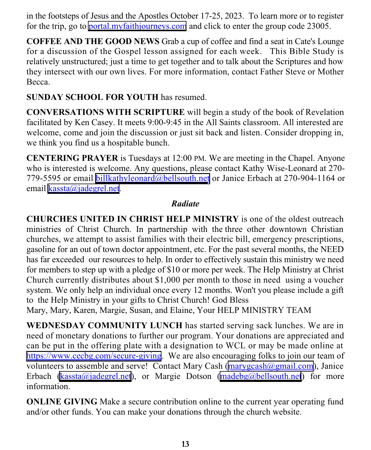in the footsteps of Jesus and the Apostles October 17-25, 2023. To learn more or to register for the trip, go to [portal.myfaithjourneys.com](http://portal.myfaithjourneys.com/) and click to enter the group code 23005.

**COFFEE AND THE GOOD NEWS** Grab a cup of coffee and find a seat in Cate's Lounge for a discussion of the Gospel lesson assigned for each week. This Bible Study is relatively unstructured; just a time to get together and to talk about the Scriptures and how they intersect with our own lives. For more information, contact Father Steve or Mother Becca.

## **SUNDAY SCHOOL FOR YOUTH** has resumed.

**CONVERSATIONS WITH SCRIPTURE** will begin a study of the book of Revelation facilitated by Ken Casey. It meets 9:00-9:45 in the All Saints classroom. All interested are welcome, come and join the discussion or just sit back and listen. Consider dropping in, we think you find us a hospitable bunch.

**CENTERING PRAYER** is Tuesdays at 12:00 PM. We are meeting in the Chapel. Anyone who is interested is welcome. Any questions, please contact Kathy Wise-Leonard at 270 779-5595 or email [billkathyleonard@bellsouth.net](mailto:billkathyleonard@bellsouth.net) or Janice Erbach at 270-904-1164 or email [kassta@jadegrel.net](mailto:kassta@jadegrel.net).

## *Radiate*

**CHURCHES UNITED IN CHRIST HELP MINISTRY** is one of the oldest outreach ministries of Christ Church. In partnership with the three other downtown Christian churches, we attempt to assist families with their electric bill, emergency prescriptions, gasoline for an out of town doctor appointment, etc. For the past several months, the NEED has far exceeded our resources to help. In order to effectively sustain this ministry we need for members to step up with a pledge of \$10 or more per week. The Help Ministry at Christ Church currently distributes about \$1,000 per month to those in need using a voucher system. We only help an individual once every 12 months. Won't you please include a gift to the Help Ministry in your gifts to Christ Church! God Bless

Mary, Mary, Karen, Margie, Susan, and Elaine, Your HELP MINISTRY TEAM

**WEDNESDAY COMMUNITY LUNCH** has started serving sack lunches. We are in need of monetary donations to further our program. Your donations are appreciated and can be put in the offering plate with a designation to WCL or may be made online at <https://www.cecbg.com/secure-giving>. We are also encouraging folks to join our team of volunteers to assemble and serve! Contact Mary Cash ([marygcash@gmail.com](mailto:marygcash@gmail.com)), Janice Erbach [\(kassta@jadegrel.net](mailto:kassta@jadegrel.net)), or Margie Dotson [\(madebg@bellsouth.net\)](mailto:madebg@bellsouth.net) for more information.

**ONLINE GIVING** Make a secure contribution online to the current year operating fund and/or other funds. You can make your donations through the church website.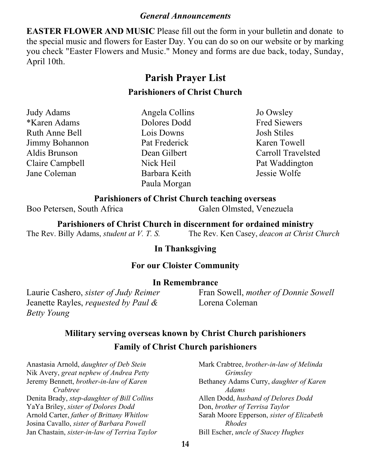#### *General Announcements*

**EASTER FLOWER AND MUSIC** Please fill out the form in your bulletin and donate to the special music and flowers for Easter Day. You can do so on our website or by marking you check "Easter Flowers and Music." Money and forms are due back, today, Sunday, April 10th.

# **Parish Prayer List**

#### **Parishioners of Christ Church**

Judy Adams \*Karen Adams Ruth Anne Bell Jimmy Bohannon Aldis Brunson Claire Campbell Jane Coleman

Angela Collins Dolores Dodd Lois Downs Pat Frederick Dean Gilbert Nick Heil Barbara Keith Paula Morgan

Jo Owsley Fred Siewers Josh Stiles Karen Towell Carroll Travelsted Pat Waddington Jessie Wolfe

#### **Parishioners of Christ Church teaching overseas**

Boo Petersen, South Africa Galen Olmsted, Venezuela

**Parishioners of Christ Church in discernment for ordained ministry**  The Rev. Billy Adams, *student at V. T. S.* The Rev. Ken Casey, *deacon at Christ Church* 

#### **In Thanksgiving**

#### **For our Cloister Community**

#### **In Remembrance**

Laurie Cashero, *sister of Judy Reimer* Jeanette Rayles, *requested by Paul & Betty Young* 

Fran Sowell, *mother of Donnie Sowell*  Lorena Coleman

## **Military serving overseas known by Christ Church parishioners Family of Christ Church parishioners**

Anastasia Arnold, *daughter of Deb Stein*  Nik Avery, *great nephew of Andrea Petty*  Jeremy Bennett, *brother-in-law of Karen Crabtree*  Denita Brady, *step-daughter of Bill Collins*  YaYa Briley, *sister of Dolores Dodd*  Arnold Carter, *father of Brittany Whitlow* Josina Cavallo, *sister of Barbara Powell*  Jan Chastain, *sister-in-law of Terrisa Taylor*  Mark Crabtree, *brother-in-law of Melinda Grimsley*  Bethaney Adams Curry, *daughter of Karen Adams*  Allen Dodd, *husband of Delores Dodd*  Don, *brother of Terrisa Taylor*  Sarah Moore Epperson, *sister of Elizabeth Rhodes*  Bill Escher, *uncle of Stacey Hughes*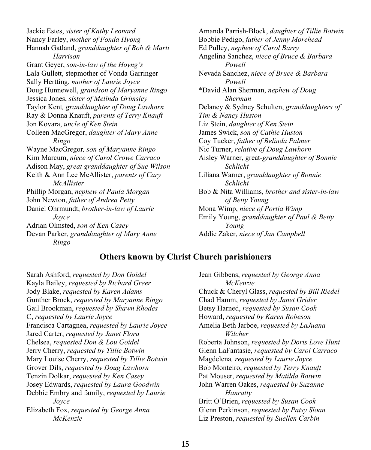Jackie Estes, *sister of Kathy Leonard*  Nancy Farley, *mother of Fonda Hyong*  Hannah Gatland, *granddaughter of Bob & Marti Harrison*  Grant Geyer, *son-in-law of the Hoyng's*  Lala Gullett, stepmother of Vonda Garringer Sally Hertting, *mother of Laurie Joyce*  Doug Hunnewell, *grandson of Maryanne Ringo*  Jessica Jones, *sister of Melinda Grimsley*  Taylor Kent*, granddaughter of Doug Lawhorn* Ray & Donna Knauft, *parents of Terry Knauft*  Jon Kovara, *uncle of Ken Stein*  Colleen MacGregor, *daughter of Mary Anne Ringo*  Wayne MacGregor*, son of Maryanne Ringo* Kim Marcum, *niece of Carol Crowe Carraco*  Adison May, *great granddaughter of Sue Wilson*  Keith & Ann Lee McAllister, *parents of Cary McAllister*  Phillip Morgan, *nephew of Paula Morgan*  John Newton, *father of Andrea Petty*  Daniel Ohrmundt, *brother-in-law of Laurie Joyce*  Adrian Olmsted, *son of Ken Casey*  Devan Parker, *granddaughter of Mary Anne Ringo* 

Amanda Parrish-Block, *daughter of Tillie Botwin*  Bobbie Pedigo, *father of Jenny Morehead*  Ed Pulley, *nephew of Carol Barry*  Angelina Sanchez, *niece of Bruce & Barbara Powell*  Nevada Sanchez, *niece of Bruce & Barbara Powell* \*David Alan Sherman, *nephew of Doug Sherman* Delaney & Sydney Schulten, *granddaughters of Tim & Nancy Huston*  Liz Stein, *daughter of Ken Stein*  James Swick, *son of Cathie Huston*  Coy Tucker, *father of Belinda Palmer*  Nic Turner, *relative of Doug Lawhorn* Aisley Warner, great-*granddaughter of Bonnie Schlicht* Liliana Warner, *granddaughter of Bonnie Schlicht*  Bob & Nita Williams, *brother and sister-in-law of Betty Young*  Mona Wimp, *niece of Portia Wimp*  Emily Young, *granddaughter of Paul & Betty Young* Addie Zaker, *niece of Jan Campbell* 

#### **Others known by Christ Church parishioners**

Sarah Ashford, *requested by Don Goidel*  Kayla Bailey, *requested by Richard Greer*  Jody Blake, *requested by Karen Adams* Gunther Brock, *requested by Maryanne Ringo*  Gail Brookman, *requested by Shawn Rhodes*  C, *requested by Laurie Joyce* Francisca Cartagnea, *requested by Laurie Joyce* Jared Carter, *requested by Janet Flora*  Chelsea, *requested Don & Lou Goidel* Jerry Cherry, *requested by Tillie Botwin* Mary Louise Cherry, *requested by Tillie Botwin* Grover Dils, *requested by Doug Lawhorn*  Tenzin Dolkar, *requested by Ken Casey*  Josey Edwards, *requested by Laura Goodwin*  Debbie Embry and family, *requested by Laurie Joyce*  Elizabeth Fox, *requested by George Anna McKenzie* 

Jean Gibbens, *requested by George Anna McKenzie*  Chuck & Cheryl Glass, *requested by Bill Riedel*  Chad Hamm, *requested by Janet Grider*  Betsy Harned, *requested by Susan Cook* Howard, *requested by Karen Robeson*  Amelia Beth Jarboe, *requested by LaJuana Wilcher*  Roberta Johnson, *requested by Doris Love Hunt* Glenn LaFantasie, *requested by Carol Carraco*  Magdelena*, requested by Laurie Joyce*  Bob Monteiro, *requested by Terry Knauft*  Pat Mouser, *requested by Matilda Botwin* John Warren Oakes, *requested by Suzanne Hanratty*  Britt O'Brien, *requested by Susan Cook*  Glenn Perkinson, *requested by Patsy Sloan*  Liz Preston, *requested by Suellen Carbin*